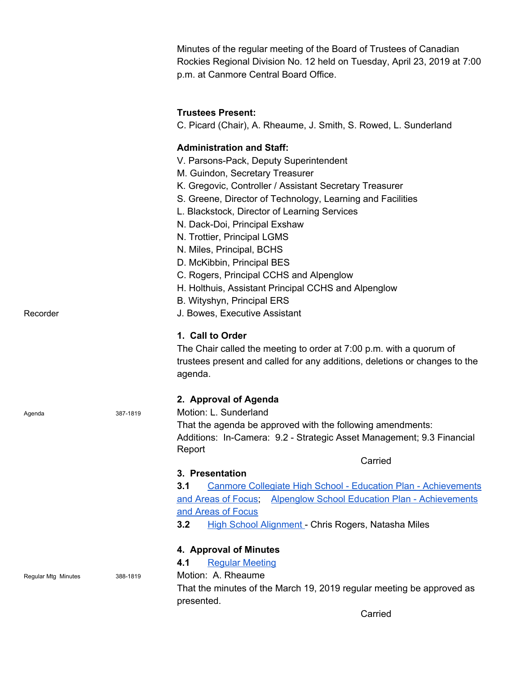|                     |          | Minutes of the regular meeting of the Board of Trustees of Canadian<br>Rockies Regional Division No. 12 held on Tuesday, April 23, 2019 at 7:00<br>p.m. at Canmore Central Board Office.                                                                                                                                                                                                                                                                                                                                                                                           |  |  |  |
|---------------------|----------|------------------------------------------------------------------------------------------------------------------------------------------------------------------------------------------------------------------------------------------------------------------------------------------------------------------------------------------------------------------------------------------------------------------------------------------------------------------------------------------------------------------------------------------------------------------------------------|--|--|--|
|                     |          | <b>Trustees Present:</b><br>C. Picard (Chair), A. Rheaume, J. Smith, S. Rowed, L. Sunderland                                                                                                                                                                                                                                                                                                                                                                                                                                                                                       |  |  |  |
| Recorder            |          | <b>Administration and Staff:</b><br>V. Parsons-Pack, Deputy Superintendent<br>M. Guindon, Secretary Treasurer<br>K. Gregovic, Controller / Assistant Secretary Treasurer<br>S. Greene, Director of Technology, Learning and Facilities<br>L. Blackstock, Director of Learning Services<br>N. Dack-Doi, Principal Exshaw<br>N. Trottier, Principal LGMS<br>N. Miles, Principal, BCHS<br>D. McKibbin, Principal BES<br>C. Rogers, Principal CCHS and Alpenglow<br>H. Holthuis, Assistant Principal CCHS and Alpenglow<br>B. Wityshyn, Principal ERS<br>J. Bowes, Executive Assistant |  |  |  |
|                     |          | 1. Call to Order<br>The Chair called the meeting to order at 7:00 p.m. with a quorum of<br>trustees present and called for any additions, deletions or changes to the<br>agenda.                                                                                                                                                                                                                                                                                                                                                                                                   |  |  |  |
| Agenda              | 387-1819 | 2. Approval of Agenda<br>Motion: L. Sunderland<br>That the agenda be approved with the following amendments:<br>Additions: In-Camera: 9.2 - Strategic Asset Management; 9.3 Financial<br>Report                                                                                                                                                                                                                                                                                                                                                                                    |  |  |  |
|                     |          | Carried                                                                                                                                                                                                                                                                                                                                                                                                                                                                                                                                                                            |  |  |  |
|                     |          | 3. Presentation<br>Canmore Collegiate High School - Education Plan - Achievements<br>3.1<br><b>Alpenglow School Education Plan - Achievements</b><br>and Areas of Focus;<br>and Areas of Focus<br>3.2<br><b>High School Alignment</b> - Chris Rogers, Natasha Miles                                                                                                                                                                                                                                                                                                                |  |  |  |
|                     |          | 4. Approval of Minutes                                                                                                                                                                                                                                                                                                                                                                                                                                                                                                                                                             |  |  |  |
| Regular Mtg Minutes | 388-1819 | <b>Regular Meeting</b><br>4.1<br>Motion: A. Rheaume                                                                                                                                                                                                                                                                                                                                                                                                                                                                                                                                |  |  |  |
|                     |          | That the minutes of the March 19, 2019 regular meeting be approved as<br>presented.                                                                                                                                                                                                                                                                                                                                                                                                                                                                                                |  |  |  |

Carried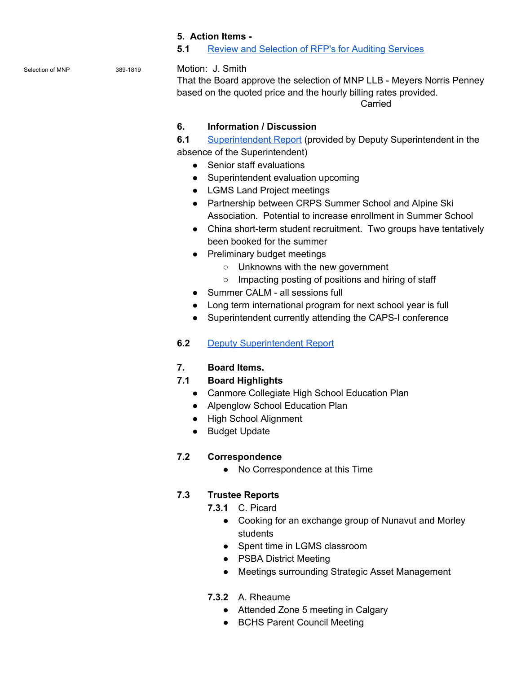#### **5. Action Items -**

#### **5.1** Review and [Selection](https://drive.google.com/file/d/1DWr0yfttQ8flWQXmf5sBpqj3goLBbyEg/view?usp=sharing) of RFP's for Auditing Services

#### Selection of MNP 389-1819 Motion: J. Smith

That the Board approve the selection of MNP LLB - Meyers Norris Penney based on the quoted price and the hourly billing rates provided.

Carried

#### **6. Information / Discussion**

**6.1** [Superintendent](https://drive.google.com/file/d/1Dw5WIF2em1_VkpVu8-ZtNQ6VhNpQTQ0P/view?usp=sharing) Report (provided by Deputy Superintendent in the absence of the Superintendent)

- Senior staff evaluations
- Superintendent evaluation upcoming
- LGMS Land Project meetings
- Partnership between CRPS Summer School and Alpine Ski Association. Potential to increase enrollment in Summer School
- China short-term student recruitment. Two groups have tentatively been booked for the summer
- Preliminary budget meetings
	- Unknowns with the new government
	- Impacting posting of positions and hiring of staff
- Summer CALM all sessions full
- Long term international program for next school year is full
- Superintendent currently attending the CAPS-I conference
- **6.2** Deputy [Superintendent](https://drive.google.com/file/d/1Dsf5JcubJXS2DP2n5iIW5Suw4-I9Qmel/view?usp=sharing) Report

# **7. Board Items.**

# **7.1 Board Highlights**

- Canmore Collegiate High School Education Plan
- Alpenglow School Education Plan
- High School Alignment
- Budget Update

# **7.2 Correspondence**

● No Correspondence at this Time

# **7.3 Trustee Reports**

- **7.3.1** C. Picard
	- Cooking for an exchange group of Nunavut and Morley students
	- Spent time in LGMS classroom
	- PSBA District Meeting
	- Meetings surrounding Strategic Asset Management
- **7.3.2** A. Rheaume
	- Attended Zone 5 meeting in Calgary
	- BCHS Parent Council Meeting